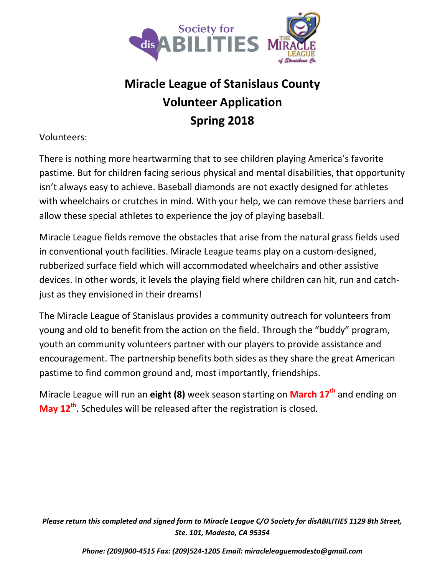

# **Miracle League of Stanislaus County Volunteer Application Spring 2018**

### Volunteers:

There is nothing more heartwarming that to see children playing America's favorite pastime. But for children facing serious physical and mental disabilities, that opportunity isn't always easy to achieve. Baseball diamonds are not exactly designed for athletes with wheelchairs or crutches in mind. With your help, we can remove these barriers and allow these special athletes to experience the joy of playing baseball.

Miracle League fields remove the obstacles that arise from the natural grass fields used in conventional youth facilities. Miracle League teams play on a custom-designed, rubberized surface field which will accommodated wheelchairs and other assistive devices. In other words, it levels the playing field where children can hit, run and catchjust as they envisioned in their dreams!

The Miracle League of Stanislaus provides a community outreach for volunteers from young and old to benefit from the action on the field. Through the "buddy" program, youth an community volunteers partner with our players to provide assistance and encouragement. The partnership benefits both sides as they share the great American pastime to find common ground and, most importantly, friendships.

Miracle League will run an **eight (8)** week season starting on **March 17th** and ending on **May 12th**. Schedules will be released after the registration is closed.

*Please return this completed and signed form to Miracle League C/O Society for disABILITIES 1129 8th Street, Ste. 101, Modesto, CA 95354*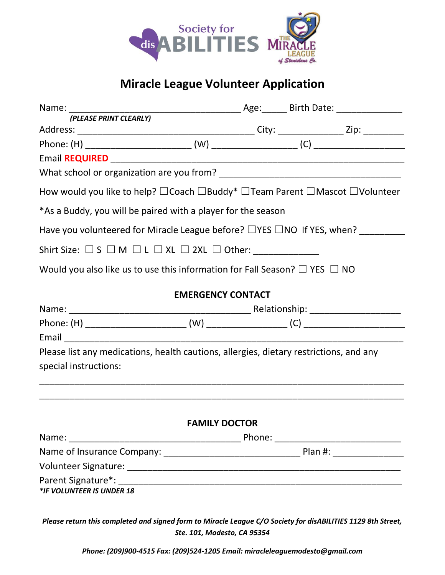

# **Miracle League Volunteer Application**

| (PLEASE PRINT CLEARLY)                                                                                          |                          |  |  |  |  |
|-----------------------------------------------------------------------------------------------------------------|--------------------------|--|--|--|--|
|                                                                                                                 |                          |  |  |  |  |
|                                                                                                                 |                          |  |  |  |  |
|                                                                                                                 |                          |  |  |  |  |
|                                                                                                                 |                          |  |  |  |  |
| How would you like to help? $\Box$ Coach $\Box$ Buddy* $\Box$ Team Parent $\Box$ Mascot $\Box$ Volunteer        |                          |  |  |  |  |
| *As a Buddy, you will be paired with a player for the season                                                    |                          |  |  |  |  |
| Have you volunteered for Miracle League before? □YES □NO If YES, when? ________                                 |                          |  |  |  |  |
| Shirt Size: $\square$ S $\square$ M $\square$ L $\square$ XL $\square$ 2XL $\square$ Other: ____________        |                          |  |  |  |  |
| Would you also like us to use this information for Fall Season? $\Box$ YES $\Box$ NO                            |                          |  |  |  |  |
|                                                                                                                 | <b>EMERGENCY CONTACT</b> |  |  |  |  |
|                                                                                                                 |                          |  |  |  |  |
|                                                                                                                 |                          |  |  |  |  |
|                                                                                                                 |                          |  |  |  |  |
| Please list any medications, health cautions, allergies, dietary restrictions, and any<br>special instructions: |                          |  |  |  |  |
|                                                                                                                 | <b>FAMILY DOCTOR</b>     |  |  |  |  |
|                                                                                                                 |                          |  |  |  |  |
|                                                                                                                 |                          |  |  |  |  |
|                                                                                                                 |                          |  |  |  |  |
| *IF VOLUNTEER IS UNDER 18                                                                                       |                          |  |  |  |  |
| Please return this completed and signed form to Miracle League C/O Society for disABILITIES 1129 8th Street,    |                          |  |  |  |  |

*Ste. 101, Modesto, CA 95354*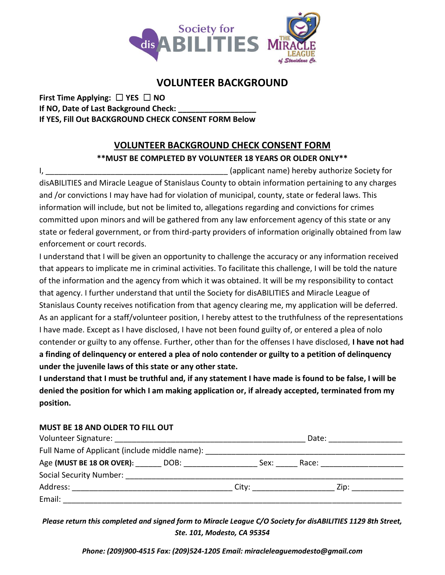

## **VOLUNTEER BACKGROUND**

**First Time Applying:** ☐ **YES** ☐ **NO If NO, Date of Last Background Check: If YES, Fill Out BACKGROUND CHECK CONSENT FORM Below**

#### **VOLUNTEER BACKGROUND CHECK CONSENT FORM**

#### **\*\*MUST BE COMPLETED BY VOLUNTEER 18 YEARS OR OLDER ONLY\*\***

I, \_\_\_\_\_\_\_\_\_\_\_\_\_\_\_\_\_\_\_\_\_\_\_\_\_\_\_\_\_\_\_\_\_\_\_\_\_\_\_\_\_\_ (applicant name) hereby authorize Society for disABILITIES and Miracle League of Stanislaus County to obtain information pertaining to any charges and /or convictions I may have had for violation of municipal, county, state or federal laws. This information will include, but not be limited to, allegations regarding and convictions for crimes committed upon minors and will be gathered from any law enforcement agency of this state or any state or federal government, or from third-party providers of information originally obtained from law enforcement or court records.

I understand that I will be given an opportunity to challenge the accuracy or any information received that appears to implicate me in criminal activities. To facilitate this challenge, I will be told the nature of the information and the agency from which it was obtained. It will be my responsibility to contact that agency. I further understand that until the Society for disABILITIES and Miracle League of Stanislaus County receives notification from that agency clearing me, my application will be deferred. As an applicant for a staff/volunteer position, I hereby attest to the truthfulness of the representations I have made. Except as I have disclosed, I have not been found guilty of, or entered a plea of nolo contender or guilty to any offense. Further, other than for the offenses I have disclosed, **I have not had a finding of delinquency or entered a plea of nolo contender or guilty to a petition of delinquency under the juvenile laws of this state or any other state.**

**I understand that I must be truthful and, if any statement I have made is found to be false, I will be denied the position for which I am making application or, if already accepted, terminated from my position.**

#### **MUST BE 18 AND OLDER TO FILL OUT**

|                                                 |                      | Date:                                                                                                          |  |
|-------------------------------------------------|----------------------|----------------------------------------------------------------------------------------------------------------|--|
| Full Name of Applicant (include middle name):   |                      |                                                                                                                |  |
| Age (MUST BE 18 OR OVER): DOB: DOB:             | Sex:                 | Race: and the state of the state of the state of the state of the state of the state of the state of the state |  |
| Social Security Number: Social Security Number: |                      |                                                                                                                |  |
| Address:                                        | City: ______________ | Zip: ___________                                                                                               |  |
| Email:                                          |                      |                                                                                                                |  |

*Please return this completed and signed form to Miracle League C/O Society for disABILITIES 1129 8th Street, Ste. 101, Modesto, CA 95354*

*Phone: (209)900-4515 Fax: (209)524-1205 Email: miracleleaguemodesto@gmail.com*